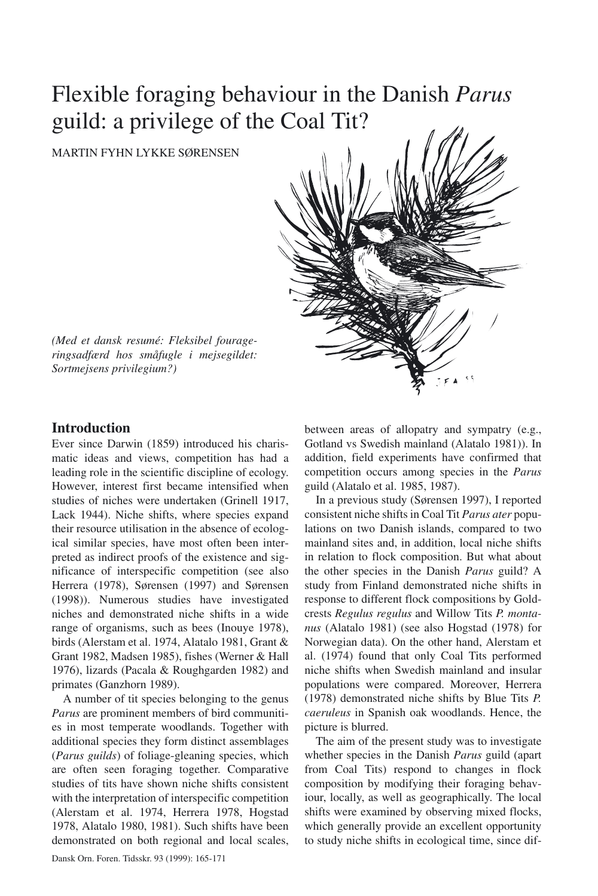# Flexible foraging behaviour in the Danish *Parus* guild: a privilege of the Coal Tit?

MARTIN FYHN LYKKE SØRENSEN

*(Med et dansk resumé: Fleksibel fourageringsadfærd hos småfugle i mejsegildet:*

# **Introduction**

*Sortmejsens privilegium?)*

Ever since Darwin (1859) introduced his charismatic ideas and views, competition has had a leading role in the scientific discipline of ecology. However, interest first became intensified when studies of niches were undertaken (Grinell 1917, Lack 1944). Niche shifts, where species expand their resource utilisation in the absence of ecological similar species, have most often been interpreted as indirect proofs of the existence and significance of interspecific competition (see also Herrera (1978), Sørensen (1997) and Sørensen (1998)). Numerous studies have investigated niches and demonstrated niche shifts in a wide range of organisms, such as bees (Inouye 1978), birds (Alerstam et al. 1974, Alatalo 1981, Grant & Grant 1982, Madsen 1985), fishes (Werner & Hall 1976), lizards (Pacala & Roughgarden 1982) and primates (Ganzhorn 1989).

A number of tit species belonging to the genus *Parus* are prominent members of bird communities in most temperate woodlands. Together with additional species they form distinct assemblages (*Parus guilds*) of foliage-gleaning species, which are often seen foraging together. Comparative studies of tits have shown niche shifts consistent with the interpretation of interspecific competition (Alerstam et al. 1974, Herrera 1978, Hogstad 1978, Alatalo 1980, 1981). Such shifts have been demonstrated on both regional and local scales, between areas of allopatry and sympatry (e.g., Gotland vs Swedish mainland (Alatalo 1981)). In addition, field experiments have confirmed that competition occurs among species in the *Parus* guild (Alatalo et al. 1985, 1987).

In a previous study (Sørensen 1997), I reported consistent niche shifts in Coal Tit *Parus ater* populations on two Danish islands, compared to two mainland sites and, in addition, local niche shifts in relation to flock composition. But what about the other species in the Danish *Parus* guild? A study from Finland demonstrated niche shifts in response to different flock compositions by Goldcrests *Regulus regulus* and Willow Tits *P. montanus* (Alatalo 1981) (see also Hogstad (1978) for Norwegian data). On the other hand, Alerstam et al. (1974) found that only Coal Tits performed niche shifts when Swedish mainland and insular populations were compared. Moreover, Herrera (1978) demonstrated niche shifts by Blue Tits *P. caeruleus* in Spanish oak woodlands. Hence, the picture is blurred.

The aim of the present study was to investigate whether species in the Danish *Parus* guild (apart from Coal Tits) respond to changes in flock composition by modifying their foraging behaviour, locally, as well as geographically. The local shifts were examined by observing mixed flocks, which generally provide an excellent opportunity to study niche shifts in ecological time, since dif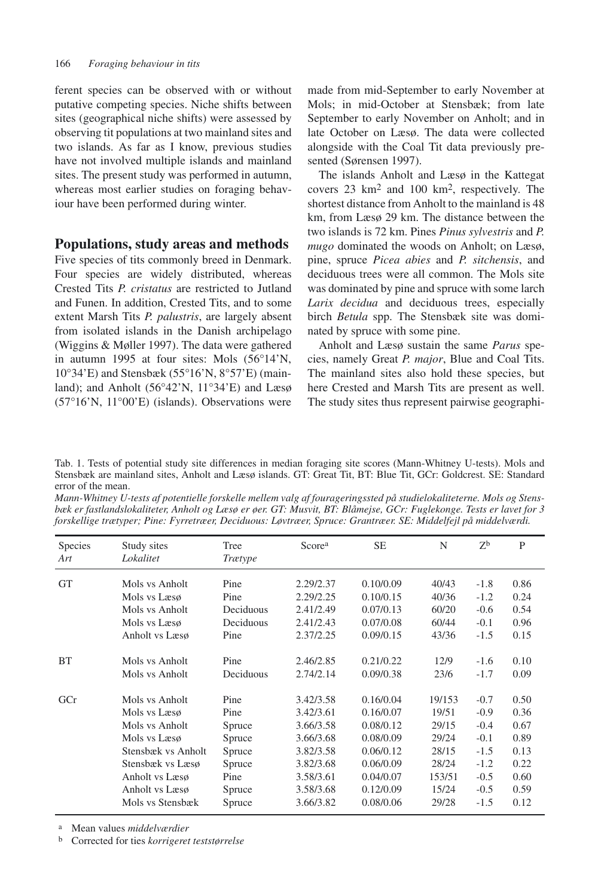ferent species can be observed with or without putative competing species. Niche shifts between sites (geographical niche shifts) were assessed by observing tit populations at two mainland sites and two islands. As far as I know, previous studies have not involved multiple islands and mainland sites. The present study was performed in autumn, whereas most earlier studies on foraging behaviour have been performed during winter.

## **Populations, study areas and methods**

Five species of tits commonly breed in Denmark. Four species are widely distributed, whereas Crested Tits *P. cristatus* are restricted to Jutland and Funen. In addition, Crested Tits, and to some extent Marsh Tits *P. palustris*, are largely absent from isolated islands in the Danish archipelago (Wiggins & Møller 1997). The data were gathered in autumn 1995 at four sites: Mols (56°14'N, 10°34'E) and Stensbæk (55°16'N, 8°57'E) (mainland); and Anholt (56°42'N, 11°34'E) and Læsø (57°16'N, 11°00'E) (islands). Observations were made from mid-September to early November at Mols; in mid-October at Stensbæk; from late September to early November on Anholt; and in late October on Læsø. The data were collected alongside with the Coal Tit data previously presented (Sørensen 1997).

The islands Anholt and Læsø in the Kattegat covers 23 km2 and 100 km2, respectively. The shortest distance from Anholt to the mainland is 48 km, from Læsø 29 km. The distance between the two islands is 72 km. Pines *Pinus sylvestris* and *P. mugo* dominated the woods on Anholt; on Læsø, pine, spruce *Picea abies* and *P. sitchensis*, and deciduous trees were all common. The Mols site was dominated by pine and spruce with some larch *Larix decidua* and deciduous trees, especially birch *Betula* spp. The Stensbæk site was dominated by spruce with some pine.

Anholt and Læsø sustain the same *Parus* species, namely Great *P. major*, Blue and Coal Tits. The mainland sites also hold these species, but here Crested and Marsh Tits are present as well. The study sites thus represent pairwise geographi-

Tab. 1. Tests of potential study site differences in median foraging site scores (Mann-Whitney U-tests). Mols and Stensbæk are mainland sites, Anholt and Læsø islands. GT: Great Tit, BT: Blue Tit, GCr: Goldcrest. SE: Standard error of the mean.

*Mann-Whitney U-tests af potentielle forskelle mellem valg af fourageringssted på studielokaliteterne. Mols og Stensbæk er fastlandslokaliteter, Anholt og Læsø er øer. GT: Musvit, BT: Blåmejse, GCr: Fuglekonge. Tests er lavet for 3 forskellige trætyper; Pine: Fyrretræer, Deciduous: Løvtræer, Spruce: Grantræer. SE: Middelfejl på middelværdi.*

| <b>Species</b><br>Art | Study sites<br>Lokalitet | Tree<br>Trætype | Score <sup>a</sup> | <b>SE</b> | N      | $Z^b$  | P    |
|-----------------------|--------------------------|-----------------|--------------------|-----------|--------|--------|------|
| <b>GT</b>             | Mols vs Anholt           | Pine            | 2.29/2.37          | 0.10/0.09 | 40/43  | $-1.8$ | 0.86 |
|                       | Mols vs Læsø             | Pine            | 2.29/2.25          | 0.10/0.15 | 40/36  | $-1.2$ | 0.24 |
|                       | Mols vs Anholt           | Deciduous       | 2.41/2.49          | 0.07/0.13 | 60/20  | $-0.6$ | 0.54 |
|                       | Mols vs Læsø             | Deciduous       | 2.41/2.43          | 0.07/0.08 | 60/44  | $-0.1$ | 0.96 |
|                       | Anholt vs Læsø           | Pine            | 2.37/2.25          | 0.09/0.15 | 43/36  | $-1.5$ | 0.15 |
| <b>BT</b>             | Mols vs Anholt           | Pine            | 2.46/2.85          | 0.21/0.22 | 12/9   | $-1.6$ | 0.10 |
|                       | Mols vs Anholt           | Deciduous       | 2.74/2.14          | 0.09/0.38 | 23/6   | $-1.7$ | 0.09 |
| GCr                   | Mols vs Anholt           | Pine            | 3.42/3.58          | 0.16/0.04 | 19/153 | $-0.7$ | 0.50 |
|                       | Mols vs Læsø             | Pine            | 3.42/3.61          | 0.16/0.07 | 19/51  | $-0.9$ | 0.36 |
|                       | Mols vs Anholt           | Spruce          | 3.66/3.58          | 0.08/0.12 | 29/15  | $-0.4$ | 0.67 |
|                       | Mols vs Læsø             | Spruce          | 3.66/3.68          | 0.08/0.09 | 29/24  | $-0.1$ | 0.89 |
|                       | Stensbæk vs Anholt       | Spruce          | 3.82/3.58          | 0.06/0.12 | 28/15  | $-1.5$ | 0.13 |
|                       | Stensbæk vs Læsø         | Spruce          | 3.82/3.68          | 0.06/0.09 | 28/24  | $-1.2$ | 0.22 |
|                       | Anholt vs Læsø           | Pine            | 3.58/3.61          | 0.04/0.07 | 153/51 | $-0.5$ | 0.60 |
|                       | Anholt vs Læsø           | Spruce          | 3.58/3.68          | 0.12/0.09 | 15/24  | $-0.5$ | 0.59 |
|                       | Mols vs Stensbæk         | Spruce          | 3.66/3.82          | 0.08/0.06 | 29/28  | $-1.5$ | 0.12 |

a Mean values *middelværdier*

b Corrected for ties *korrigeret teststørrelse*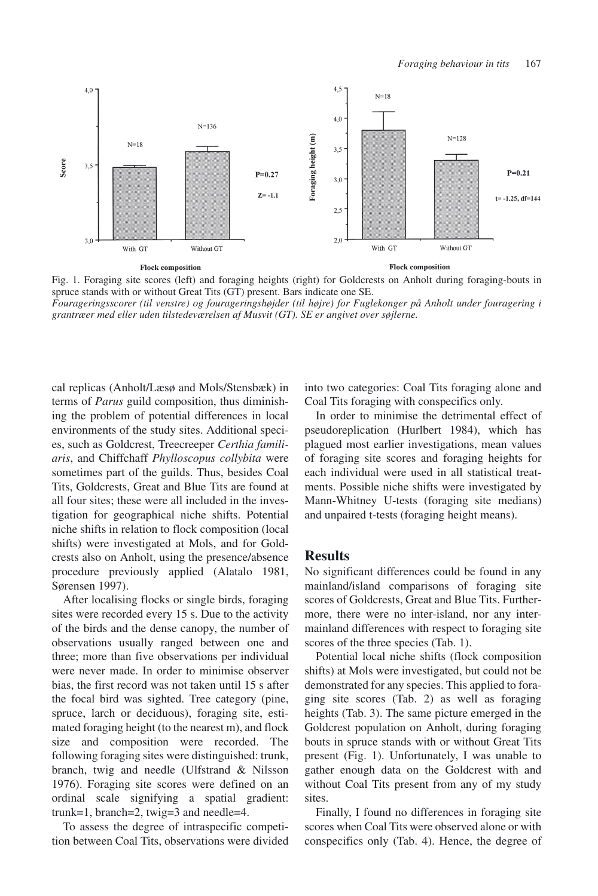

Fig. 1. Foraging site scores (left) and foraging heights (right) for Goldcrests on Anholt during foraging-bouts in spruce stands with or without Great Tits (GT) present. Bars indicate one SE.

*Fourageringsscorer (til venstre) og fourageringshøjder (til højre) for Fuglekonger på Anholt under fouragering i grantræer med eller uden tilstedeværelsen af Musvit (GT). SE er angivet over søjlerne.*

cal replicas (Anholt/Læsø and Mols/Stensbæk) in terms of *Parus* guild composition, thus diminishing the problem of potential differences in local environments of the study sites. Additional species, such as Goldcrest, Treecreeper *Certhia familiaris*, and Chiffchaff *Phylloscopus collybita* were sometimes part of the guilds. Thus, besides Coal Tits, Goldcrests, Great and Blue Tits are found at all four sites; these were all included in the investigation for geographical niche shifts. Potential niche shifts in relation to flock composition (local shifts) were investigated at Mols, and for Goldcrests also on Anholt, using the presence/absence procedure previously applied (Alatalo 1981, Sørensen 1997).

After localising flocks or single birds, foraging sites were recorded every 15 s. Due to the activity of the birds and the dense canopy, the number of observations usually ranged between one and three; more than five observations per individual were never made. In order to minimise observer bias, the first record was not taken until 15 s after the focal bird was sighted. Tree category (pine, spruce, larch or deciduous), foraging site, estimated foraging height (to the nearest m), and flock size and composition were recorded. The following foraging sites were distinguished: trunk, branch, twig and needle (Ulfstrand & Nilsson 1976). Foraging site scores were defined on an ordinal scale signifying a spatial gradient: trunk=1, branch=2, twig=3 and needle=4.

To assess the degree of intraspecific competition between Coal Tits, observations were divided into two categories: Coal Tits foraging alone and Coal Tits foraging with conspecifics only.

In order to minimise the detrimental effect of pseudoreplication (Hurlbert 1984), which has plagued most earlier investigations, mean values of foraging site scores and foraging heights for each individual were used in all statistical treatments. Possible niche shifts were investigated by Mann-Whitney U-tests (foraging site medians) and unpaired t-tests (foraging height means).

### **Results**

No significant differences could be found in any mainland/island comparisons of foraging site scores of Goldcrests, Great and Blue Tits. Furthermore, there were no inter-island, nor any intermainland differences with respect to foraging site scores of the three species (Tab. 1).

Potential local niche shifts (flock composition shifts) at Mols were investigated, but could not be demonstrated for any species. This applied to foraging site scores (Tab. 2) as well as foraging heights (Tab. 3). The same picture emerged in the Goldcrest population on Anholt, during foraging bouts in spruce stands with or without Great Tits present (Fig. 1). Unfortunately, I was unable to gather enough data on the Goldcrest with and without Coal Tits present from any of my study sites.

Finally, I found no differences in foraging site scores when Coal Tits were observed alone or with conspecifics only (Tab. 4). Hence, the degree of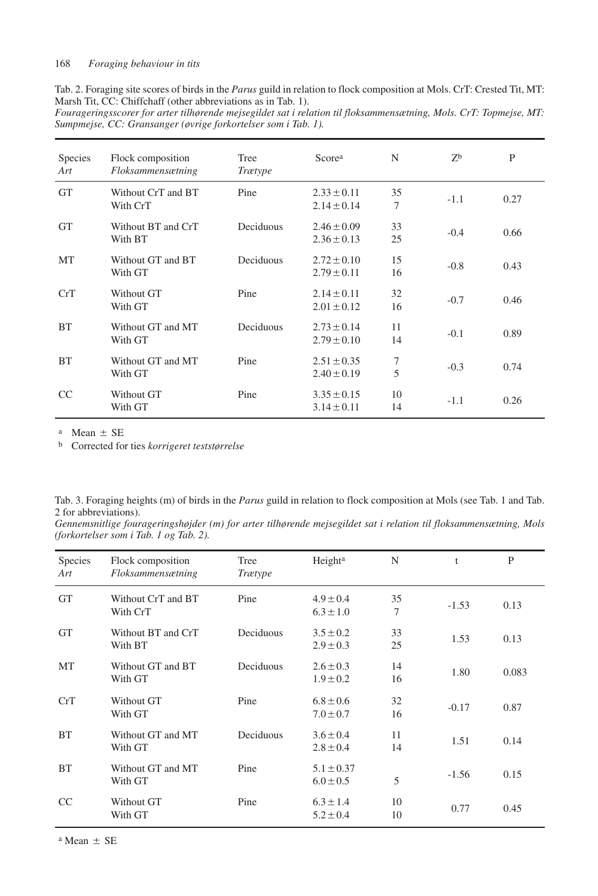| Tab. 2. Foraging site scores of birds in the <i>Parus</i> guild in relation to flock composition at Mols. CrT: Crested Tit, MT: |  |  |  |  |
|---------------------------------------------------------------------------------------------------------------------------------|--|--|--|--|
| Marsh Tit, CC: Chiffchaff (other abbreviations as in Tab. 1).                                                                   |  |  |  |  |

*Fourageringsscorer for arter tilhørende mejsegildet sat i relation til floksammensætning, Mols. CrT: Topmejse, MT: Sumpmejse, CC: Gransanger (øvrige forkortelser som i Tab. 1).*

| Species<br>Art | Flock composition<br>Floksammensætning | Tree<br><b>Trætype</b> | Scorea                             | N        | Z <sub>b</sub> | P    |
|----------------|----------------------------------------|------------------------|------------------------------------|----------|----------------|------|
| <b>GT</b>      | Without CrT and BT<br>With CrT         | Pine                   | $2.33 \pm 0.11$<br>$2.14 \pm 0.14$ | 35<br>7  | $-1.1$         | 0.27 |
| <b>GT</b>      | Without BT and CrT<br>With BT          | Deciduous              | $2.46 \pm 0.09$<br>$2.36 \pm 0.13$ | 33<br>25 | $-0.4$         | 0.66 |
| MT             | Without GT and BT<br>With GT           | Deciduous              | $2.72 \pm 0.10$<br>$2.79 \pm 0.11$ | 15<br>16 | $-0.8$         | 0.43 |
| CrT            | Without GT<br>With GT                  | Pine                   | $2.14 \pm 0.11$<br>$2.01 \pm 0.12$ | 32<br>16 | $-0.7$         | 0.46 |
| <b>BT</b>      | Without GT and MT<br>With GT           | Deciduous              | $2.73 + 0.14$<br>$2.79 \pm 0.10$   | 11<br>14 | $-0.1$         | 0.89 |
| <b>BT</b>      | Without GT and MT<br>With GT           | Pine                   | $2.51 \pm 0.35$<br>$2.40 \pm 0.19$ | 7<br>5   | $-0.3$         | 0.74 |
| <sub>CC</sub>  | Without GT<br>With GT                  | Pine                   | $3.35 \pm 0.15$<br>$3.14 \pm 0.11$ | 10<br>14 | $-1.1$         | 0.26 |

 $a$  Mean  $\pm$  SE

b Corrected for ties *korrigeret teststørrelse*

| Tab. 3. Foraging heights (m) of birds in the <i>Parus</i> guild in relation to flock composition at Mols (see Tab. 1 and Tab. |  |  |  |
|-------------------------------------------------------------------------------------------------------------------------------|--|--|--|
| 2 for abbreviations).                                                                                                         |  |  |  |

*Gennemsnitlige fourageringshøjder (m) for arter tilhørende mejsegildet sat i relation til floksammensætning, Mols (forkortelser som i Tab. 1 og Tab. 2).*

| Species<br>Art | Flock composition<br>Floksammensætning | Tree<br><b>Trætype</b> | Height <sup>a</sup>             | N        | t       | P     |
|----------------|----------------------------------------|------------------------|---------------------------------|----------|---------|-------|
| <b>GT</b>      | Without CrT and BT<br>With CrT         | Pine                   | $4.9 \pm 0.4$<br>$6.3 \pm 1.0$  | 35<br>7  | $-1.53$ | 0.13  |
| <b>GT</b>      | Without BT and CrT<br>With BT          | Deciduous              | $3.5 \pm 0.2$<br>$2.9 \pm 0.3$  | 33<br>25 | 1.53    | 0.13  |
| MT             | Without GT and BT<br>With GT           | Deciduous              | $2.6 \pm 0.3$<br>$1.9 \pm 0.2$  | 14<br>16 | 1.80    | 0.083 |
| CrT            | Without GT<br>With GT                  | Pine                   | $6.8 \pm 0.6$<br>$7.0 \pm 0.7$  | 32<br>16 | $-0.17$ | 0.87  |
| <b>BT</b>      | Without GT and MT<br>With GT           | Deciduous              | $3.6 \pm 0.4$<br>$2.8 \pm 0.4$  | 11<br>14 | 1.51    | 0.14  |
| <b>BT</b>      | Without GT and MT<br>With GT           | Pine                   | $5.1 \pm 0.37$<br>$6.0 \pm 0.5$ | 5        | $-1.56$ | 0.15  |
| <sub>CC</sub>  | Without GT<br>With GT                  | Pine                   | $6.3 \pm 1.4$<br>$5.2 \pm 0.4$  | 10<br>10 | 0.77    | 0.45  |

 $a$  Mean  $+$  SE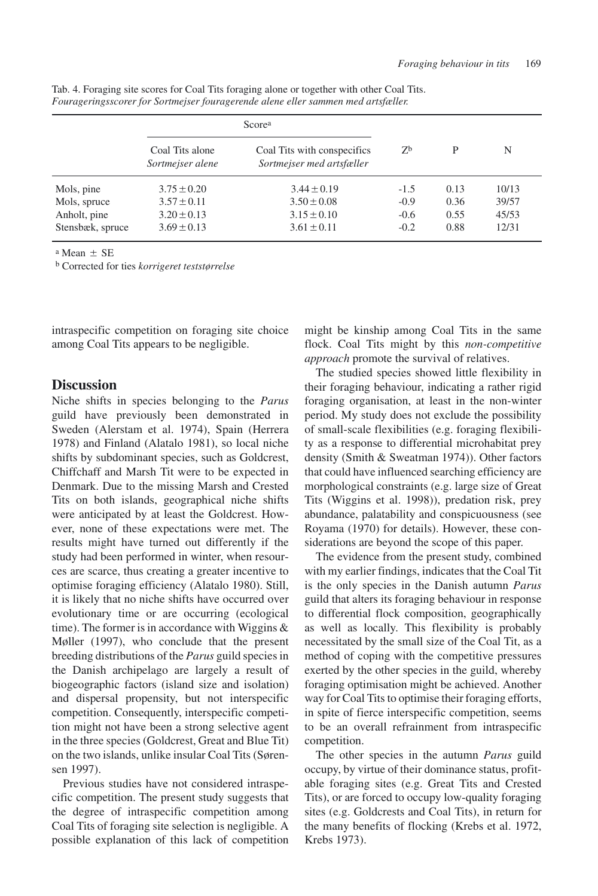|                  |                                     | Scorea                                                   |                |      |       |
|------------------|-------------------------------------|----------------------------------------------------------|----------------|------|-------|
|                  | Coal Tits alone<br>Sortmejser alene | Coal Tits with conspecifics<br>Sortmejser med artsfæller | Z <sub>b</sub> | P    | N     |
| Mols, pine       | $3.75 \pm 0.20$                     | $3.44 \pm 0.19$                                          | $-1.5$         | 0.13 | 10/13 |
| Mols, spruce     | $3.57 \pm 0.11$                     | $3.50 \pm 0.08$                                          | $-0.9$         | 0.36 | 39/57 |
| Anholt, pine     | $3.20 \pm 0.13$                     | $3.15 \pm 0.10$                                          | $-0.6$         | 0.55 | 45/53 |
| Stensbæk, spruce | $3.69 \pm 0.13$                     | $3.61 \pm 0.11$                                          | $-0.2$         | 0.88 | 12/31 |

Tab. 4. Foraging site scores for Coal Tits foraging alone or together with other Coal Tits. *Fourageringsscorer for Sortmejser fouragerende alene eller sammen med artsfæller.*

 $a$  Mean  $\pm$  SE

b Corrected for ties *korrigeret teststørrelse*

intraspecific competition on foraging site choice among Coal Tits appears to be negligible.

## **Discussion**

Niche shifts in species belonging to the *Parus* guild have previously been demonstrated in Sweden (Alerstam et al. 1974), Spain (Herrera 1978) and Finland (Alatalo 1981), so local niche shifts by subdominant species, such as Goldcrest, Chiffchaff and Marsh Tit were to be expected in Denmark. Due to the missing Marsh and Crested Tits on both islands, geographical niche shifts were anticipated by at least the Goldcrest. However, none of these expectations were met. The results might have turned out differently if the study had been performed in winter, when resources are scarce, thus creating a greater incentive to optimise foraging efficiency (Alatalo 1980). Still, it is likely that no niche shifts have occurred over evolutionary time or are occurring (ecological time). The former is in accordance with Wiggins & Møller (1997), who conclude that the present breeding distributions of the *Parus* guild species in the Danish archipelago are largely a result of biogeographic factors (island size and isolation) and dispersal propensity, but not interspecific competition. Consequently, interspecific competition might not have been a strong selective agent in the three species (Goldcrest, Great and Blue Tit) on the two islands, unlike insular Coal Tits (Sørensen 1997).

Previous studies have not considered intraspecific competition. The present study suggests that the degree of intraspecific competition among Coal Tits of foraging site selection is negligible. A possible explanation of this lack of competition might be kinship among Coal Tits in the same flock. Coal Tits might by this *non-competitive approach* promote the survival of relatives.

The studied species showed little flexibility in their foraging behaviour, indicating a rather rigid foraging organisation, at least in the non-winter period. My study does not exclude the possibility of small-scale flexibilities (e.g. foraging flexibility as a response to differential microhabitat prey density (Smith & Sweatman 1974)). Other factors that could have influenced searching efficiency are morphological constraints (e.g. large size of Great Tits (Wiggins et al. 1998)), predation risk, prey abundance, palatability and conspicuousness (see Royama (1970) for details). However, these considerations are beyond the scope of this paper.

The evidence from the present study, combined with my earlier findings, indicates that the Coal Tit is the only species in the Danish autumn *Parus* guild that alters its foraging behaviour in response to differential flock composition, geographically as well as locally. This flexibility is probably necessitated by the small size of the Coal Tit, as a method of coping with the competitive pressures exerted by the other species in the guild, whereby foraging optimisation might be achieved. Another way for Coal Tits to optimise their foraging efforts, in spite of fierce interspecific competition, seems to be an overall refrainment from intraspecific competition.

The other species in the autumn *Parus* guild occupy, by virtue of their dominance status, profitable foraging sites (e.g. Great Tits and Crested Tits), or are forced to occupy low-quality foraging sites (e.g. Goldcrests and Coal Tits), in return for the many benefits of flocking (Krebs et al. 1972, Krebs 1973).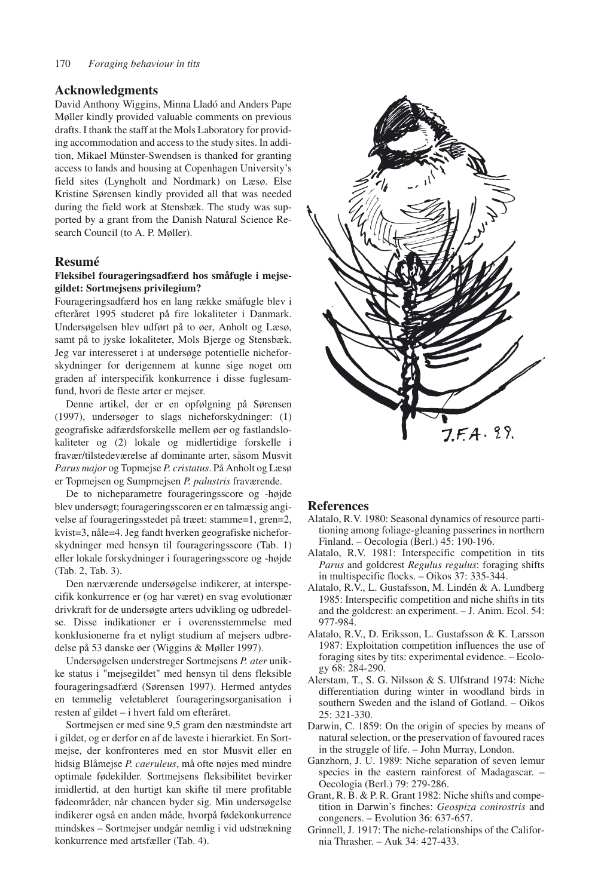## **Acknowledgments**

David Anthony Wiggins, Minna Lladó and Anders Pape Møller kindly provided valuable comments on previous drafts. I thank the staff at the Mols Laboratory for providing accommodation and access to the study sites. In addition, Mikael Münster-Swendsen is thanked for granting access to lands and housing at Copenhagen University's field sites (Lyngholt and Nordmark) on Læsø. Else Kristine Sørensen kindly provided all that was needed during the field work at Stensbæk. The study was supported by a grant from the Danish Natural Science Research Council (to A. P. Møller).

#### **Resumé**

#### **Fleksibel fourageringsadfærd hos småfugle i mejsegildet: Sortmejsens privilegium?**

Fourageringsadfærd hos en lang række småfugle blev i efteråret 1995 studeret på fire lokaliteter i Danmark. Undersøgelsen blev udført på to øer, Anholt og Læsø, samt på to jyske lokaliteter, Mols Bjerge og Stensbæk. Jeg var interesseret i at undersøge potentielle nicheforskydninger for derigennem at kunne sige noget om graden af interspecifik konkurrence i disse fuglesamfund, hvori de fleste arter er mejser.

Denne artikel, der er en opfølgning på Sørensen (1997), undersøger to slags nicheforskydninger: (1) geografiske adfærdsforskelle mellem øer og fastlandslokaliteter og (2) lokale og midlertidige forskelle i fravær/tilstedeværelse af dominante arter, såsom Musvit *Parus major* og Topmejse *P. cristatus*. På Anholt og Læsø er Topmejsen og Sumpmejsen *P. palustris* fraværende.

De to nicheparametre fourageringsscore og -højde blev undersøgt; fourageringsscoren er en talmæssig angivelse af fourageringsstedet på træet: stamme=1, gren=2, kvist=3, nåle=4. Jeg fandt hverken geografiske nicheforskydninger med hensyn til fourageringsscore (Tab. 1) eller lokale forskydninger i fourageringsscore og -højde (Tab. 2, Tab. 3).

Den nærværende undersøgelse indikerer, at interspecifik konkurrence er (og har været) en svag evolutionær drivkraft for de undersøgte arters udvikling og udbredelse. Disse indikationer er i overensstemmelse med konklusionerne fra et nyligt studium af mejsers udbredelse på 53 danske øer (Wiggins & Møller 1997).

Undersøgelsen understreger Sortmejsens *P. ater* unikke status i "mejsegildet" med hensyn til dens fleksible fourageringsadfærd (Sørensen 1997). Hermed antydes en temmelig veletableret fourageringsorganisation i resten af gildet – i hvert fald om efteråret.

Sortmejsen er med sine 9,5 gram den næstmindste art i gildet, og er derfor en af de laveste i hierarkiet. En Sortmejse, der konfronteres med en stor Musvit eller en hidsig Blåmejse *P. caeruleus*, må ofte nøjes med mindre optimale fødekilder. Sortmejsens fleksibilitet bevirker imidlertid, at den hurtigt kan skifte til mere profitable fødeområder, når chancen byder sig. Min undersøgelse indikerer også en anden måde, hvorpå fødekonkurrence mindskes – Sortmejser undgår nemlig i vid udstrækning konkurrence med artsfæller (Tab. 4).



#### **References**

- Alatalo, R.V. 1980: Seasonal dynamics of resource partitioning among foliage-gleaning passerines in northern Finland. – Oecologia (Berl.) 45: 190-196.
- Alatalo, R.V. 1981: Interspecific competition in tits *Parus* and goldcrest *Regulus regulus*: foraging shifts in multispecific flocks. – Oikos 37: 335-344.
- Alatalo, R.V., L. Gustafsson, M. Lindén & A. Lundberg 1985: Interspecific competition and niche shifts in tits and the goldcrest: an experiment. – J. Anim. Ecol. 54: 977-984.
- Alatalo, R.V., D. Eriksson, L. Gustafsson & K. Larsson 1987: Exploitation competition influences the use of foraging sites by tits: experimental evidence. – Ecology 68: 284-290.
- Alerstam, T., S. G. Nilsson & S. Ulfstrand 1974: Niche differentiation during winter in woodland birds in southern Sweden and the island of Gotland. – Oikos 25: 321-330.
- Darwin, C. 1859: On the origin of species by means of natural selection, or the preservation of favoured races in the struggle of life. – John Murray, London.
- Ganzhorn, J. U. 1989: Niche separation of seven lemur species in the eastern rainforest of Madagascar. – Oecologia (Berl.) 79: 279-286.
- Grant, R. B. & P. R. Grant 1982: Niche shifts and competition in Darwin's finches: *Geospiza conirostris* and congeners. – Evolution 36: 637-657.
- Grinnell, J. 1917: The niche-relationships of the California Thrasher. – Auk 34: 427-433.